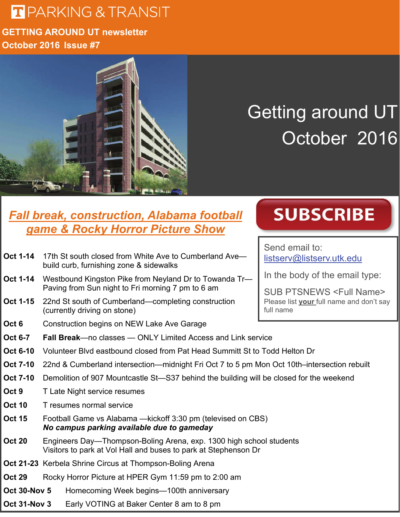## **T** PARKING & TRANSIT

#### **GETTING AROUND UT newsletter October 2016 Issue #7**



## Getting around UT October 2016

#### *Fall break, construction, Alabama football game & Rocky Horror Picture Show*

- **Oct 1-14** 17th St south closed from White Ave to Cumberland Ave build curb, furnishing zone & sidewalks
- **Oct 1-14** Westbound Kingston Pike from Neyland Dr to Towanda Tr— Paving from Sun night to Fri morning 7 pm to 6 am
- **Oct 1-15** 22nd St south of Cumberland—completing construction (currently driving on stone)
- **Oct 6** Construction begins on NEW Lake Ave Garage

# Send email to:

[listserv@listserv.utk.edu](mailto:listserv@listserv.utk.edu)

In the body of the email type:

**SUBSCRIBE** 

SUB PTSNEWS <Full Name> Please list **your** full name and don't say full name

- **Oct 6-7 Fall Break**—no classes ONLY Limited Access and Link service
- **Oct 6-10** Volunteer Blvd eastbound closed from Pat Head Summitt St to Todd Helton Dr
- **Oct 7-10** 22nd & Cumberland intersection—midnight Fri Oct 7 to 5 pm Mon Oct 10th–intersection rebuilt
- **Oct 7-10** Demolition of 907 Mountcastle St-S37 behind the building will be closed for the weekend
- **Oct 9** T Late Night service resumes
- **Oct 10** T resumes normal service
- **Oct 15** Football Game vs Alabama —kickoff 3:30 pm (televised on CBS)  *No campus parking available due to gameday*
- **Oct 20** Engineers Day—Thompson-Boling Arena, exp. 1300 high school students Visitors to park at Vol Hall and buses to park at Stephenson Dr
- **Oct 21-23** Kerbela Shrine Circus at Thompson-Boling Arena
- **Oct 29** Rocky Horror Picture at HPER Gym 11:59 pm to 2:00 am
- **Oct 30-Nov 5** Homecoming Week begins—100th anniversary
- **Oct 31-Nov 3** Early VOTING at Baker Center 8 am to 8 pm